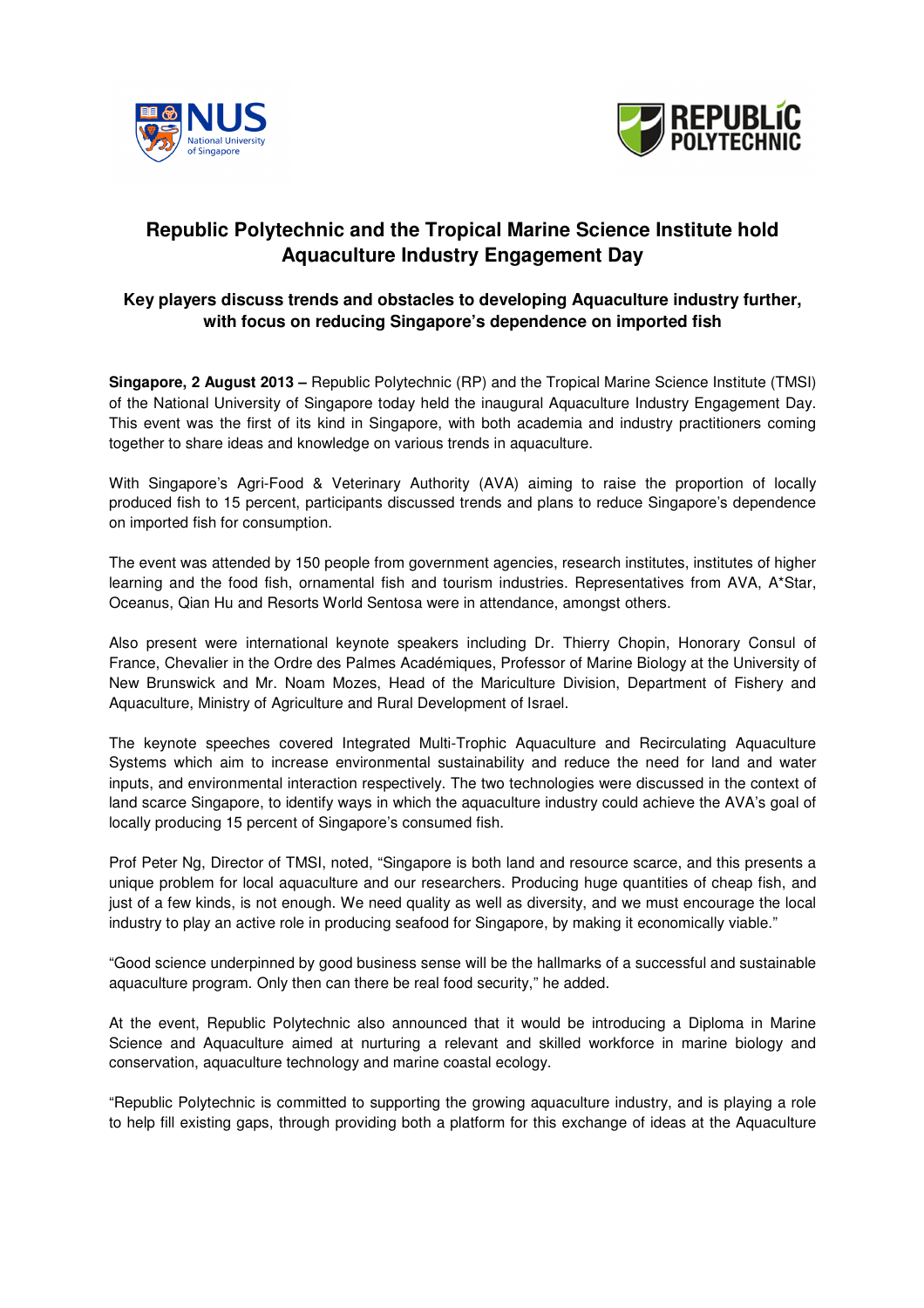



# **Republic Polytechnic and the Tropical Marine Science Institute hold Aquaculture Industry Engagement Day**

# **Key players discuss trends and obstacles to developing Aquaculture industry further, with focus on reducing Singapore's dependence on imported fish**

**Singapore, 2 August 2013 –** Republic Polytechnic (RP) and the Tropical Marine Science Institute (TMSI) of the National University of Singapore today held the inaugural Aquaculture Industry Engagement Day. This event was the first of its kind in Singapore, with both academia and industry practitioners coming together to share ideas and knowledge on various trends in aquaculture.

With Singapore's Agri-Food & Veterinary Authority (AVA) aiming to raise the proportion of locally produced fish to 15 percent, participants discussed trends and plans to reduce Singapore's dependence on imported fish for consumption.

The event was attended by 150 people from government agencies, research institutes, institutes of higher learning and the food fish, ornamental fish and tourism industries. Representatives from AVA, A\*Star, Oceanus, Qian Hu and Resorts World Sentosa were in attendance, amongst others.

Also present were international keynote speakers including Dr. Thierry Chopin, Honorary Consul of France, Chevalier in the Ordre des Palmes Académiques, Professor of Marine Biology at the University of New Brunswick and Mr. Noam Mozes, Head of the Mariculture Division, Department of Fishery and Aquaculture, Ministry of Agriculture and Rural Development of Israel.

The keynote speeches covered Integrated Multi-Trophic Aquaculture and Recirculating Aquaculture Systems which aim to increase environmental sustainability and reduce the need for land and water inputs, and environmental interaction respectively. The two technologies were discussed in the context of land scarce Singapore, to identify ways in which the aquaculture industry could achieve the AVA's goal of locally producing 15 percent of Singapore's consumed fish.

Prof Peter Ng, Director of TMSI, noted, "Singapore is both land and resource scarce, and this presents a unique problem for local aquaculture and our researchers. Producing huge quantities of cheap fish, and just of a few kinds, is not enough. We need quality as well as diversity, and we must encourage the local industry to play an active role in producing seafood for Singapore, by making it economically viable."

"Good science underpinned by good business sense will be the hallmarks of a successful and sustainable aquaculture program. Only then can there be real food security," he added.

At the event, Republic Polytechnic also announced that it would be introducing a Diploma in Marine Science and Aquaculture aimed at nurturing a relevant and skilled workforce in marine biology and conservation, aquaculture technology and marine coastal ecology.

"Republic Polytechnic is committed to supporting the growing aquaculture industry, and is playing a role to help fill existing gaps, through providing both a platform for this exchange of ideas at the Aquaculture